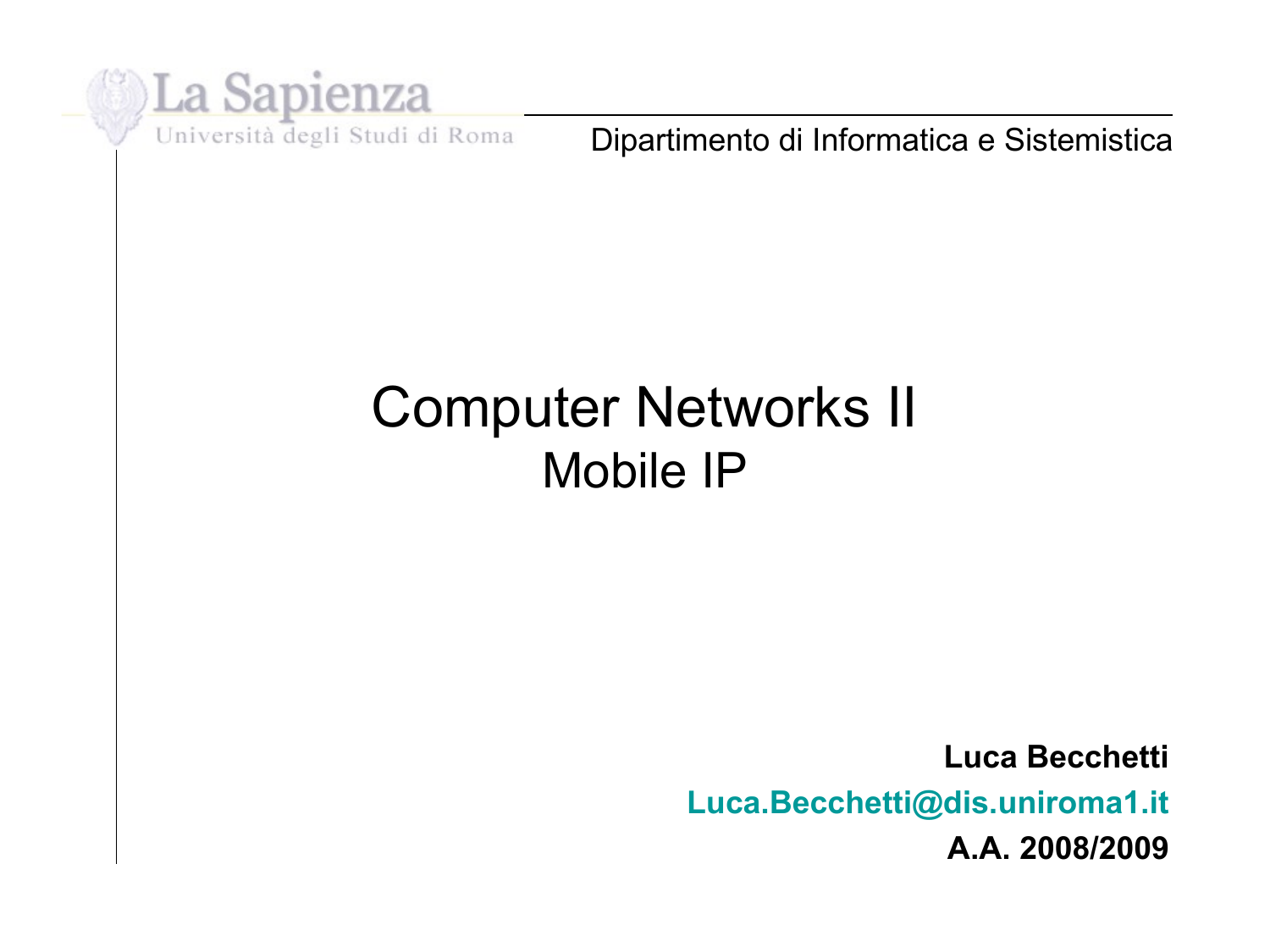

Dipartimento di Informatica e Sistemistica

#### Computer Networks II Mobile IP

**Luca Becchetti [Luca.Becchetti@dis.uniroma1.it](mailto:Luca.Becchetti@dis.uniroma1.it) A.A. 2008/2009**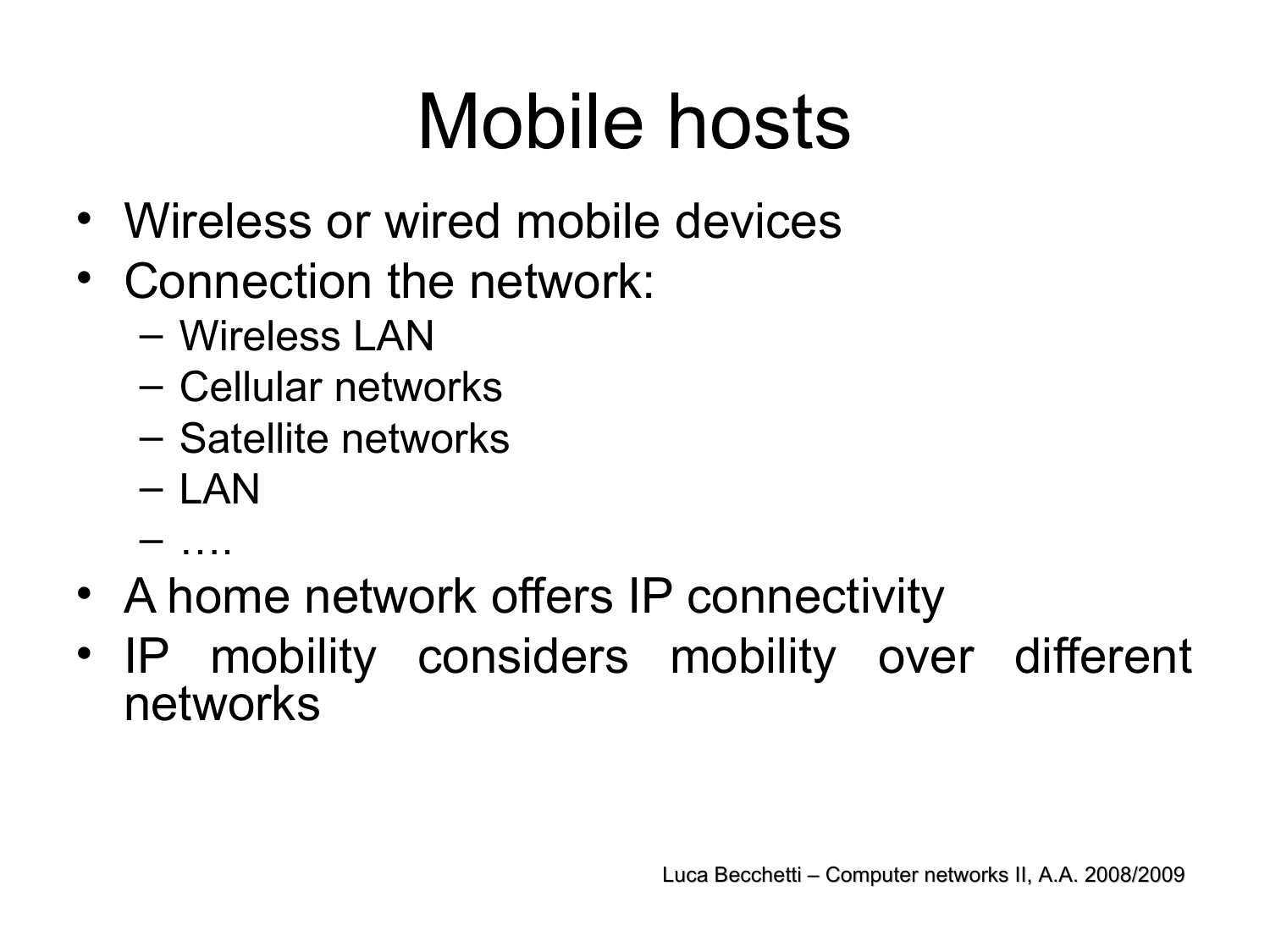# Mobile hosts

- Wireless or wired mobile devices
- Connection the network:
	- Wireless LAN
	- Cellular networks
	- Satellite networks
	- LAN
	- ….
- A home network offers IP connectivity
- IP mobility considers mobility over different networks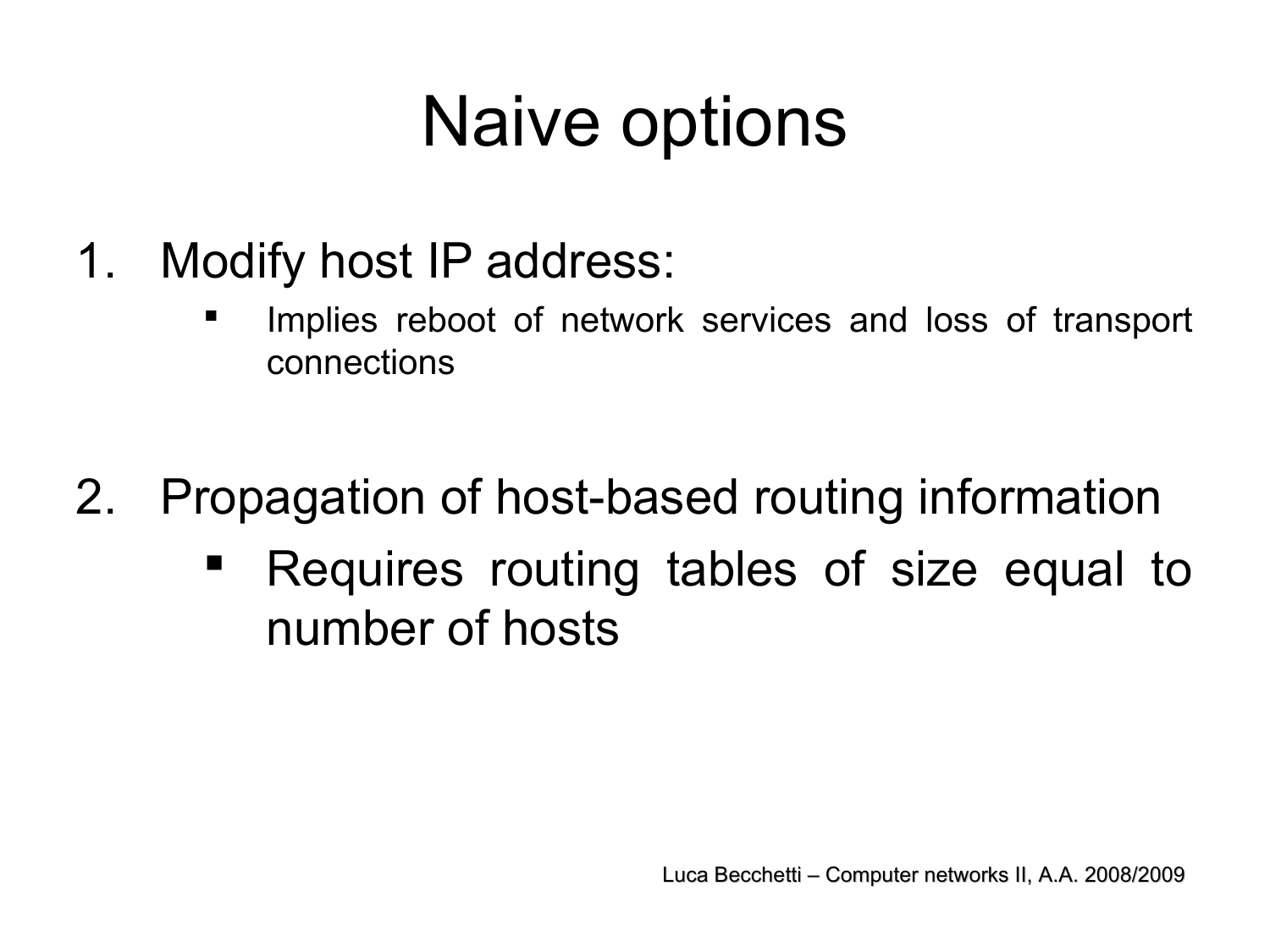### Naive options

- 1. Modify host IP address:
	- Implies reboot of network services and loss of transport connections
- 2. Propagation of host-based routing information
	- Requires routing tables of size equal to number of hosts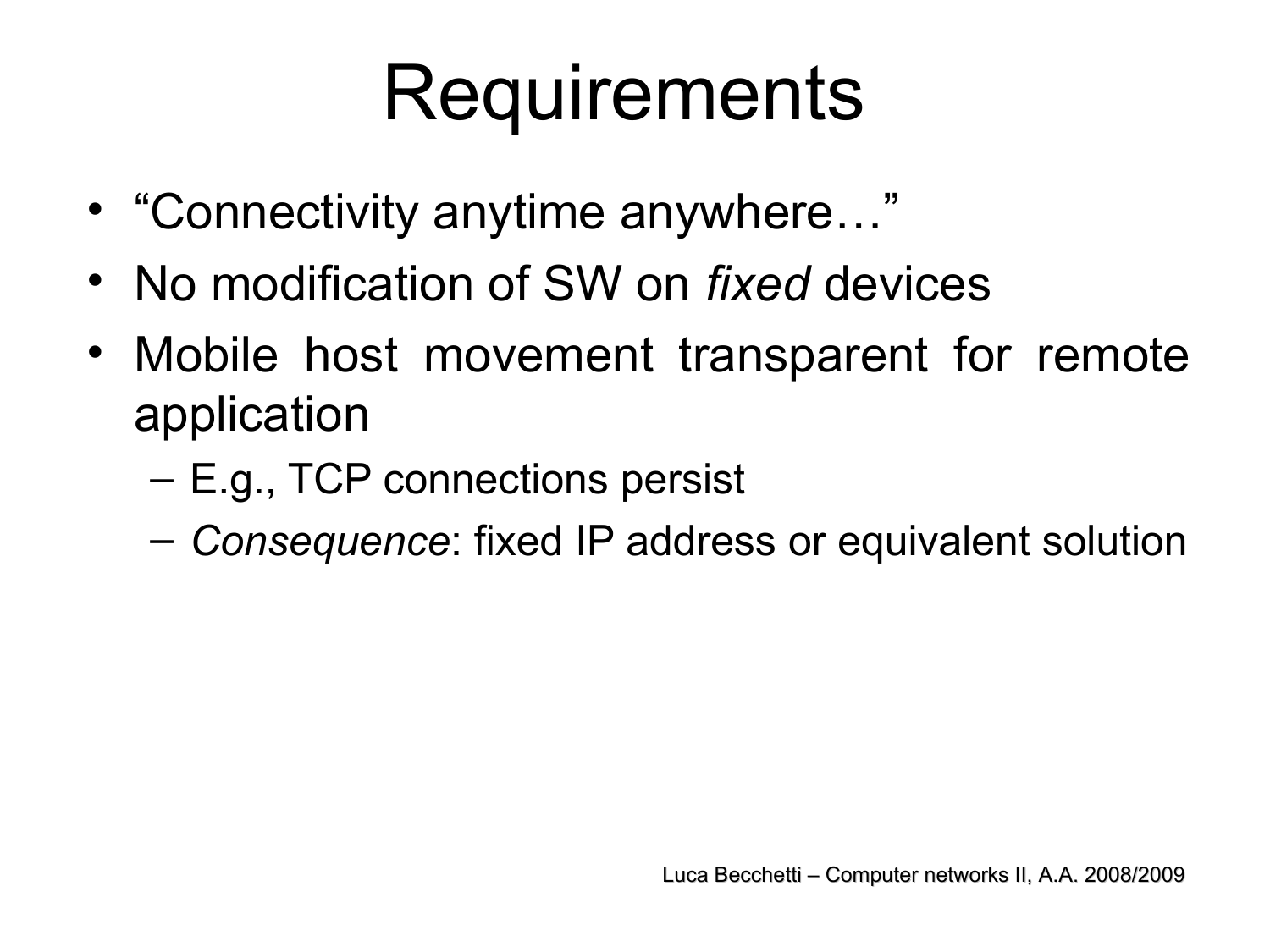# **Requirements**

- "Connectivity anytime anywhere…"
- No modification of SW on *fixed* devices
- Mobile host movement transparent for remote application
	- E.g., TCP connections persist
	- *Consequence*: fixed IP address or equivalent solution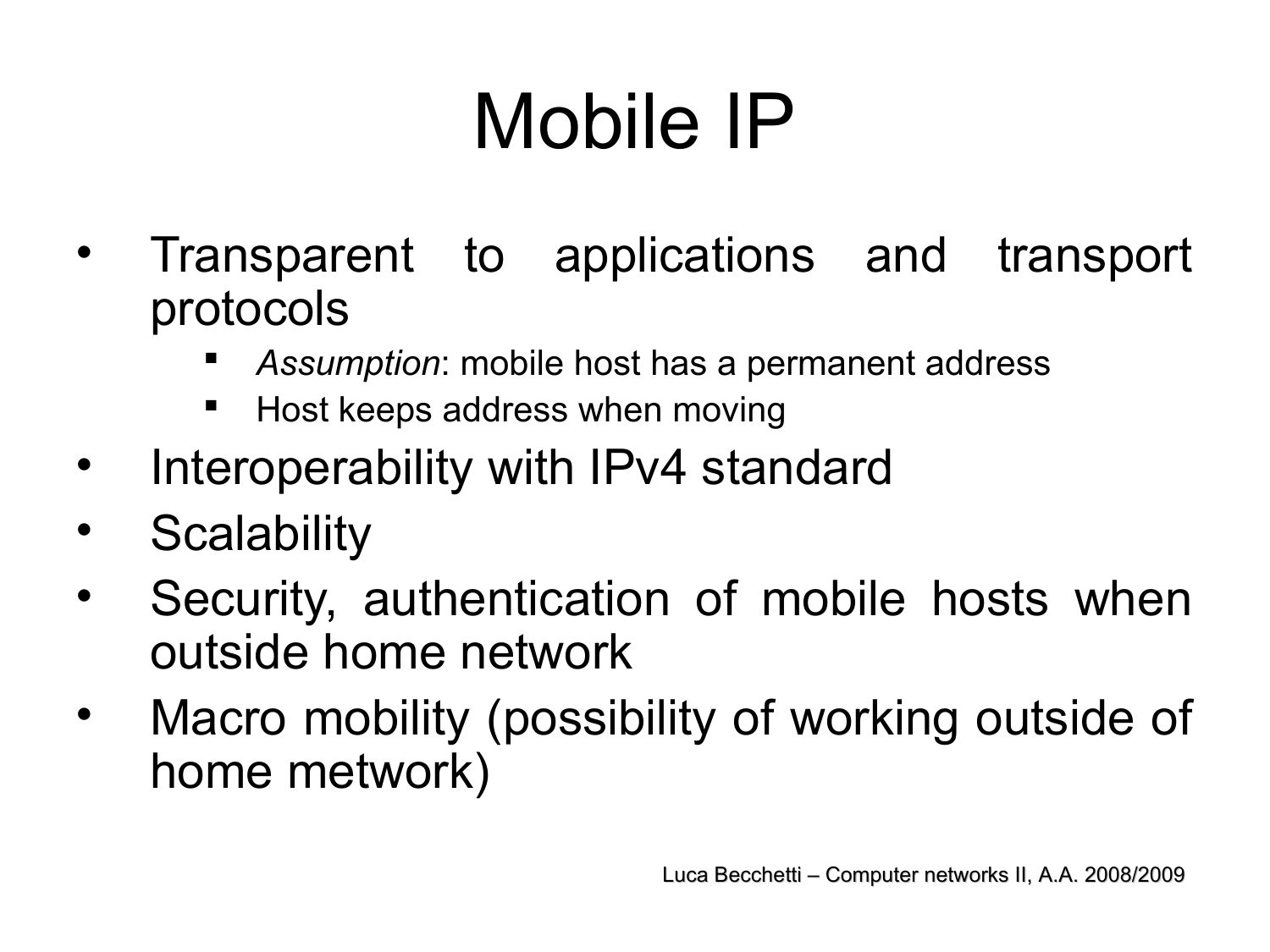# Mobile IP

- Transparent to applications and transport protocols
	- *Assumption*: mobile host has a permanent address
	- **Host keeps address when moving**
- Interoperability with IPv4 standard
- Scalability
- Security, authentication of mobile hosts when outside home network
- Macro mobility (possibility of working outside of home metwork)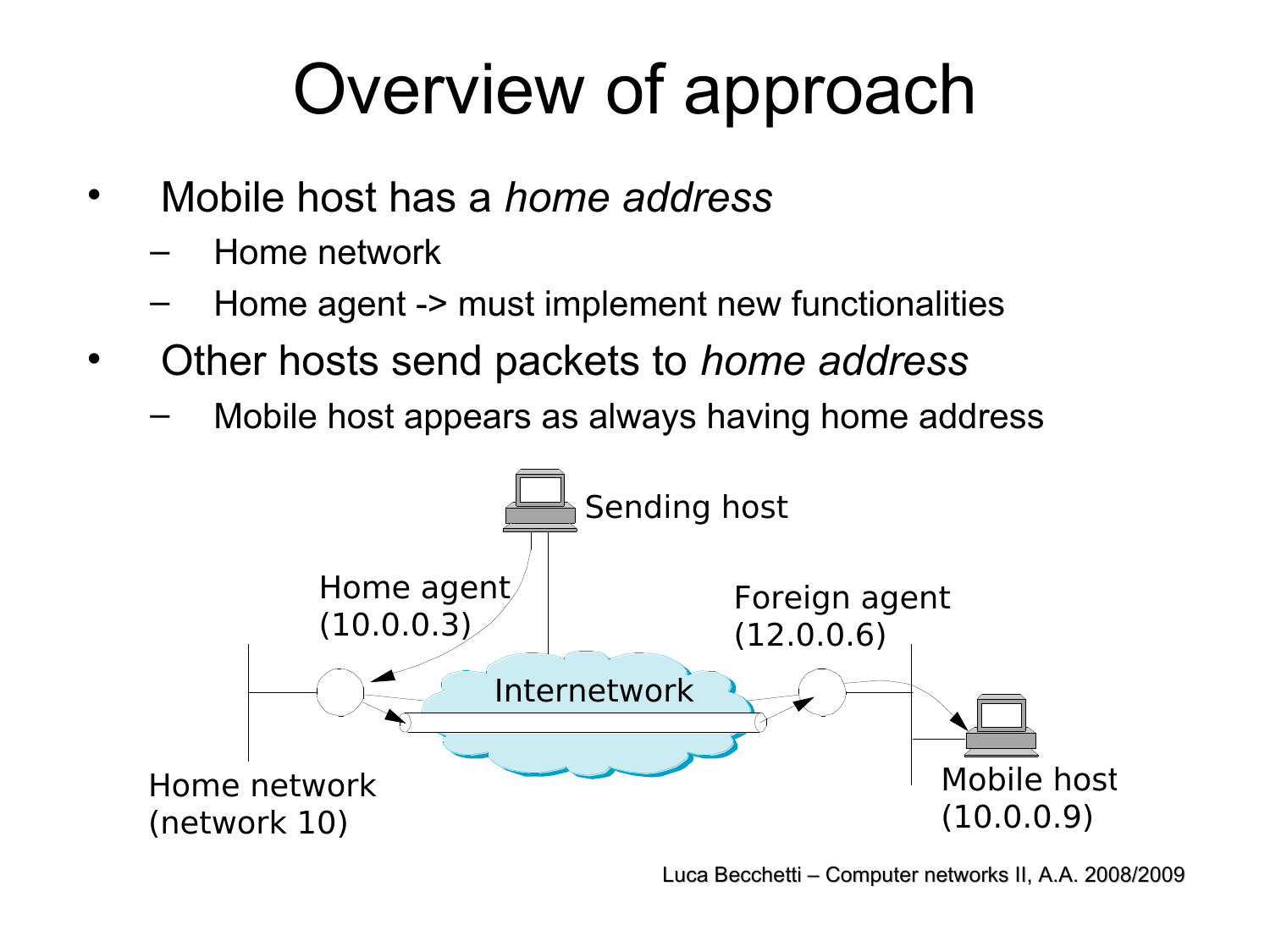## Overview of approach

- Mobile host has a *home address*
	- Home network
	- Home agent -> must implement new functionalities
- Other hosts send packets to *home address* 
	- Mobile host appears as always having home address

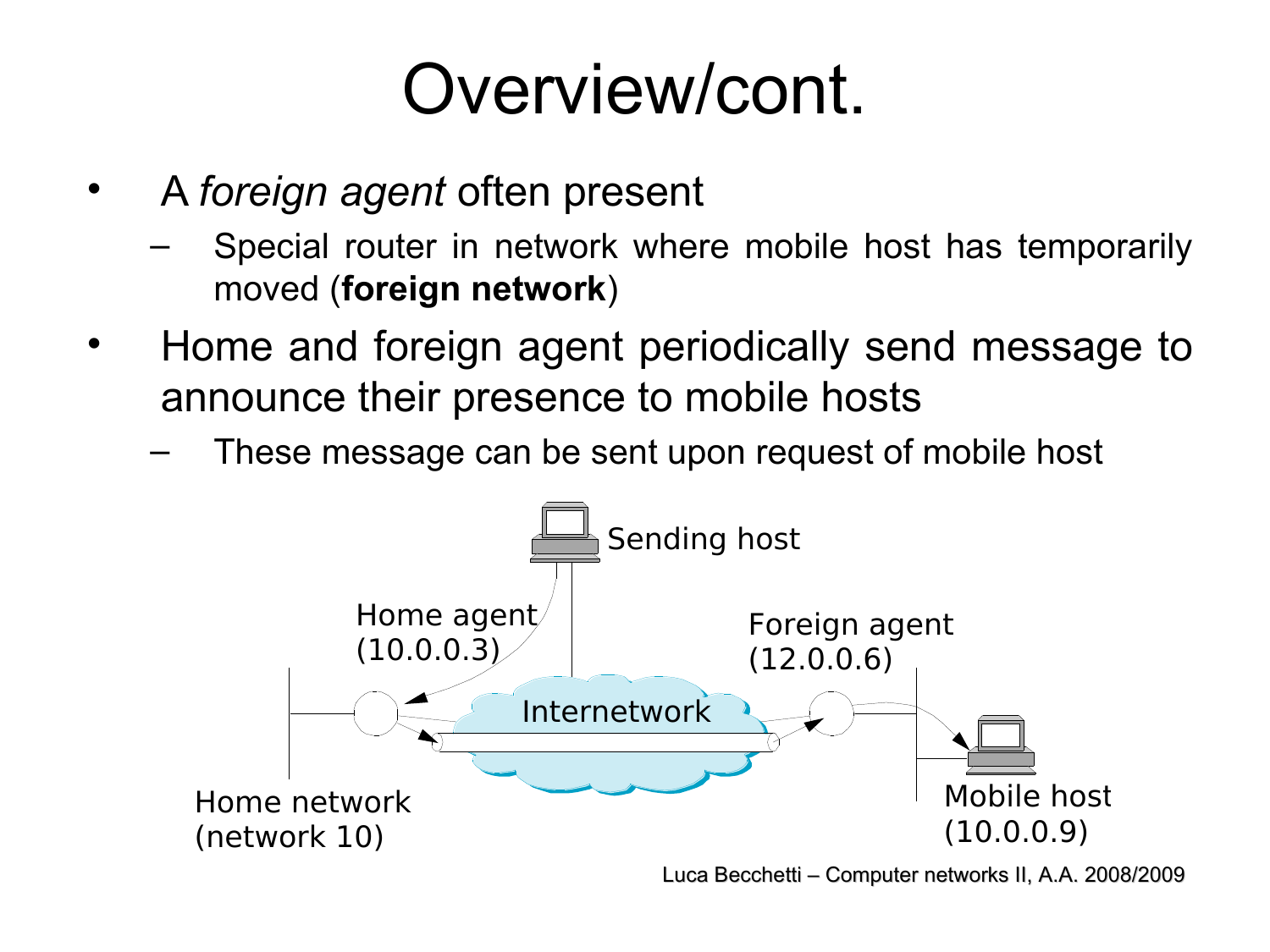### Overview/cont.

- A *foreign agent* often present
	- Special router in network where mobile host has temporarily moved (**foreign network**)
- Home and foreign agent periodically send message to announce their presence to mobile hosts
	- These message can be sent upon request of mobile host

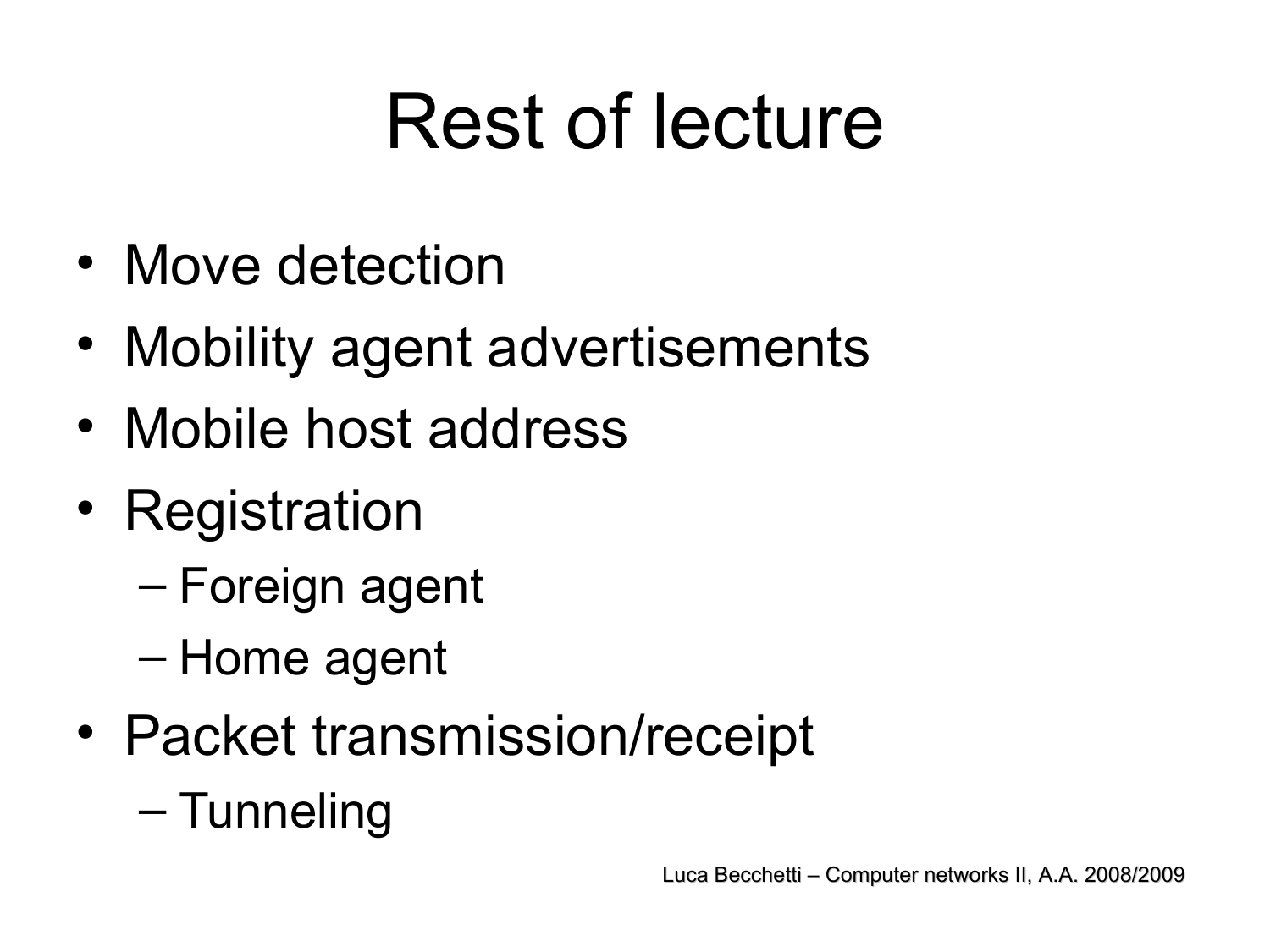# Rest of lecture

- Move detection
- Mobility agent advertisements
- Mobile host address
- Registration
	- Foreign agent
	- Home agent
- Packet transmission/receipt
	- Tunneling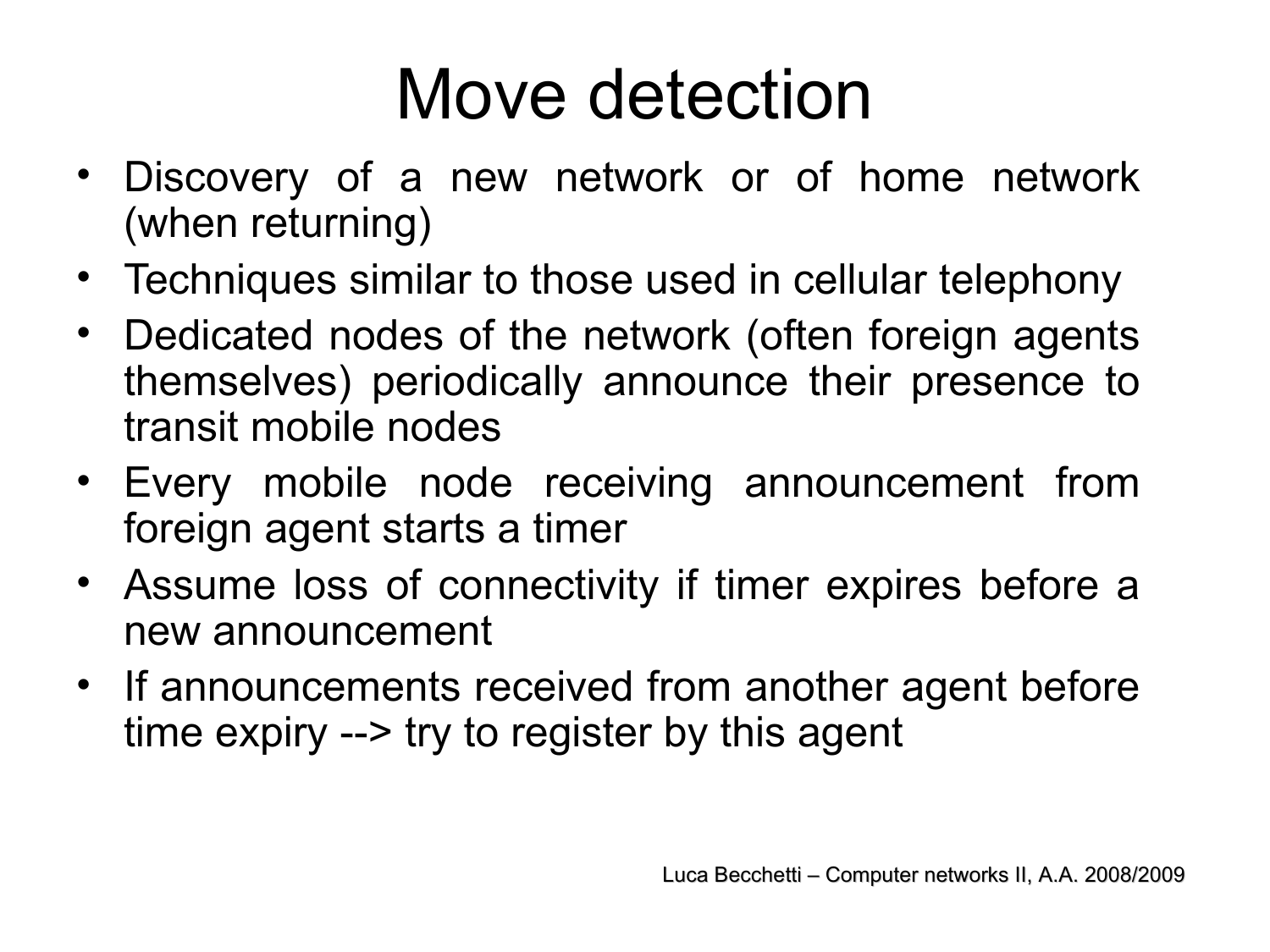### Move detection

- Discovery of a new network or of home network (when returning)
- Techniques similar to those used in cellular telephony
- Dedicated nodes of the network (often foreign agents themselves) periodically announce their presence to transit mobile nodes
- Every mobile node receiving announcement from foreign agent starts a timer
- Assume loss of connectivity if timer expires before a new announcement
- If announcements received from another agent before time expiry --> try to register by this agent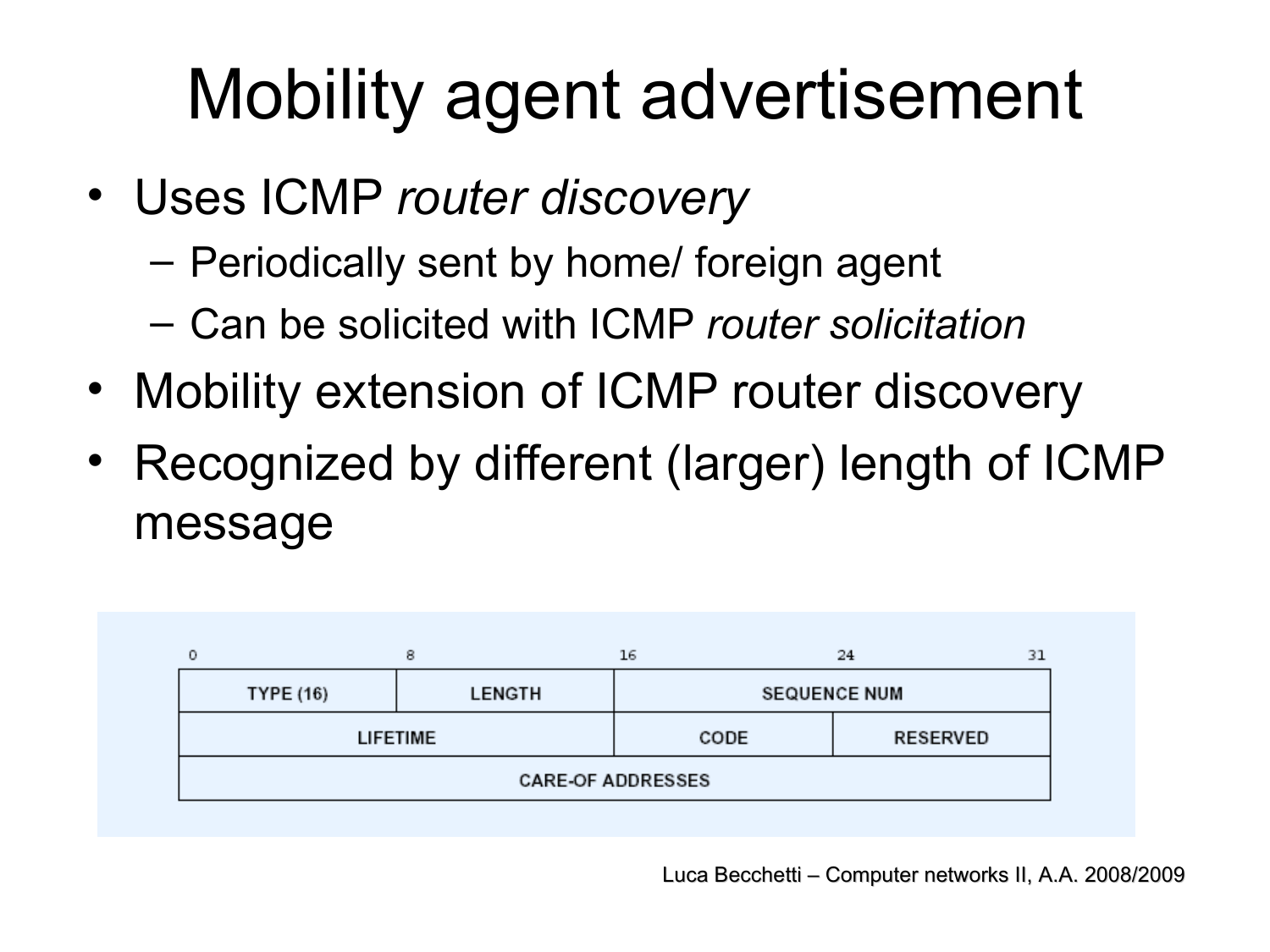## Mobility agent advertisement

- Uses ICMP *router discovery*
	- Periodically sent by home/ foreign agent
	- Can be solicited with ICMP *router solicitation*
- Mobility extension of ICMP router discovery
- Recognized by different (larger) length of ICMP message

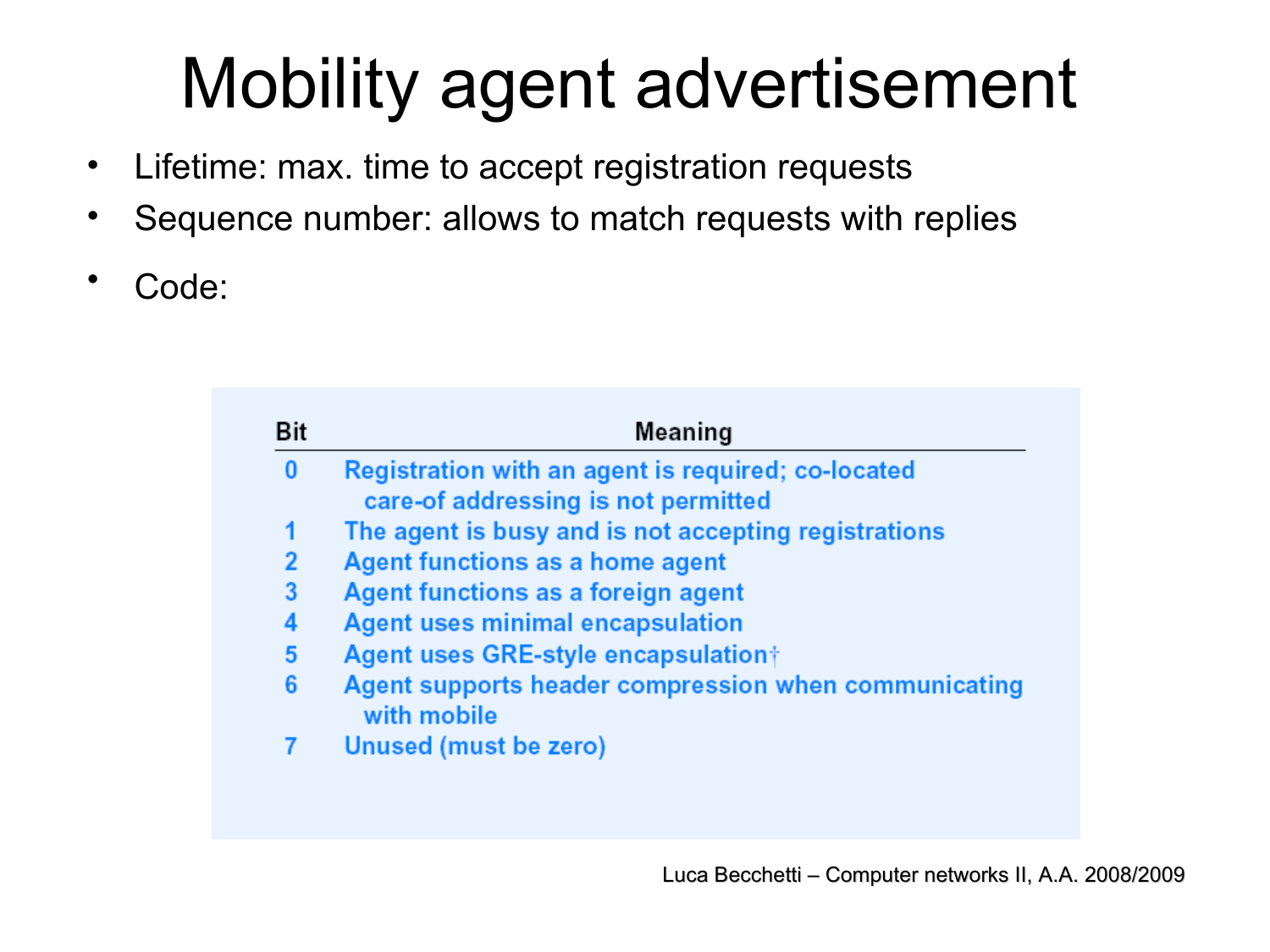## Mobility agent advertisement

- Lifetime: max. time to accept registration requests
- Sequence number: allows to match requests with replies
- Code:

| Bit | Meaning                                                                                   |  |  |
|-----|-------------------------------------------------------------------------------------------|--|--|
|     | Registration with an agent is required; co-located<br>care-of addressing is not permitted |  |  |
|     | The agent is busy and is not accepting registrations                                      |  |  |
|     | Agent functions as a home agent                                                           |  |  |
|     | Agent functions as a foreign agent                                                        |  |  |
|     | <b>Agent uses minimal encapsulation</b>                                                   |  |  |
| 5   | Agent uses GRE-style encapsulation†                                                       |  |  |
|     | Agent supports header compression when communicating<br>with mobile                       |  |  |
|     | Unused (must be zero)                                                                     |  |  |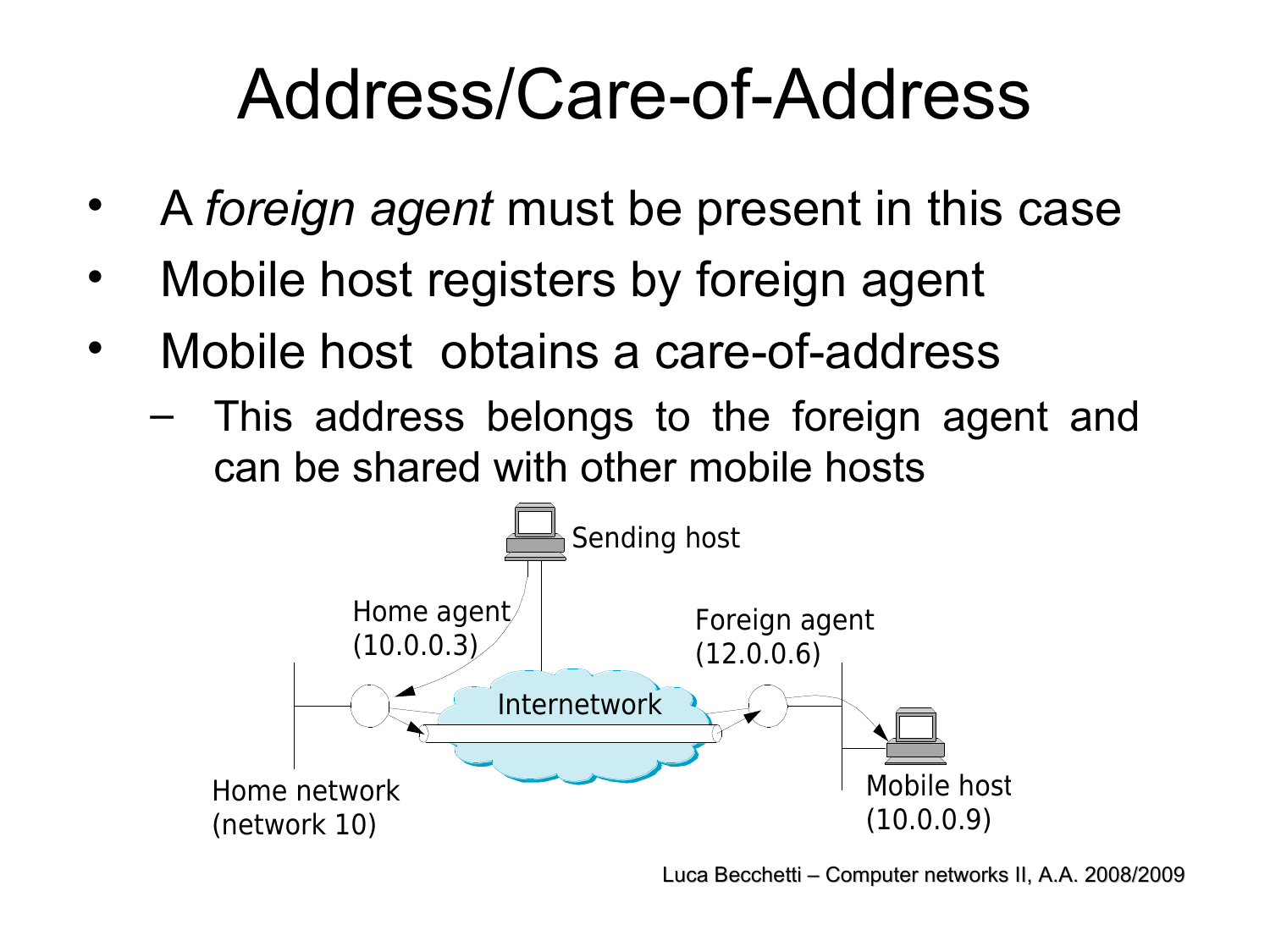#### Address/Care-of-Address

- A *foreign agent* must be present in this case
- Mobile host registers by foreign agent
- Mobile host obtains a care-of-address
	- This address belongs to the foreign agent and can be shared with other mobile hosts

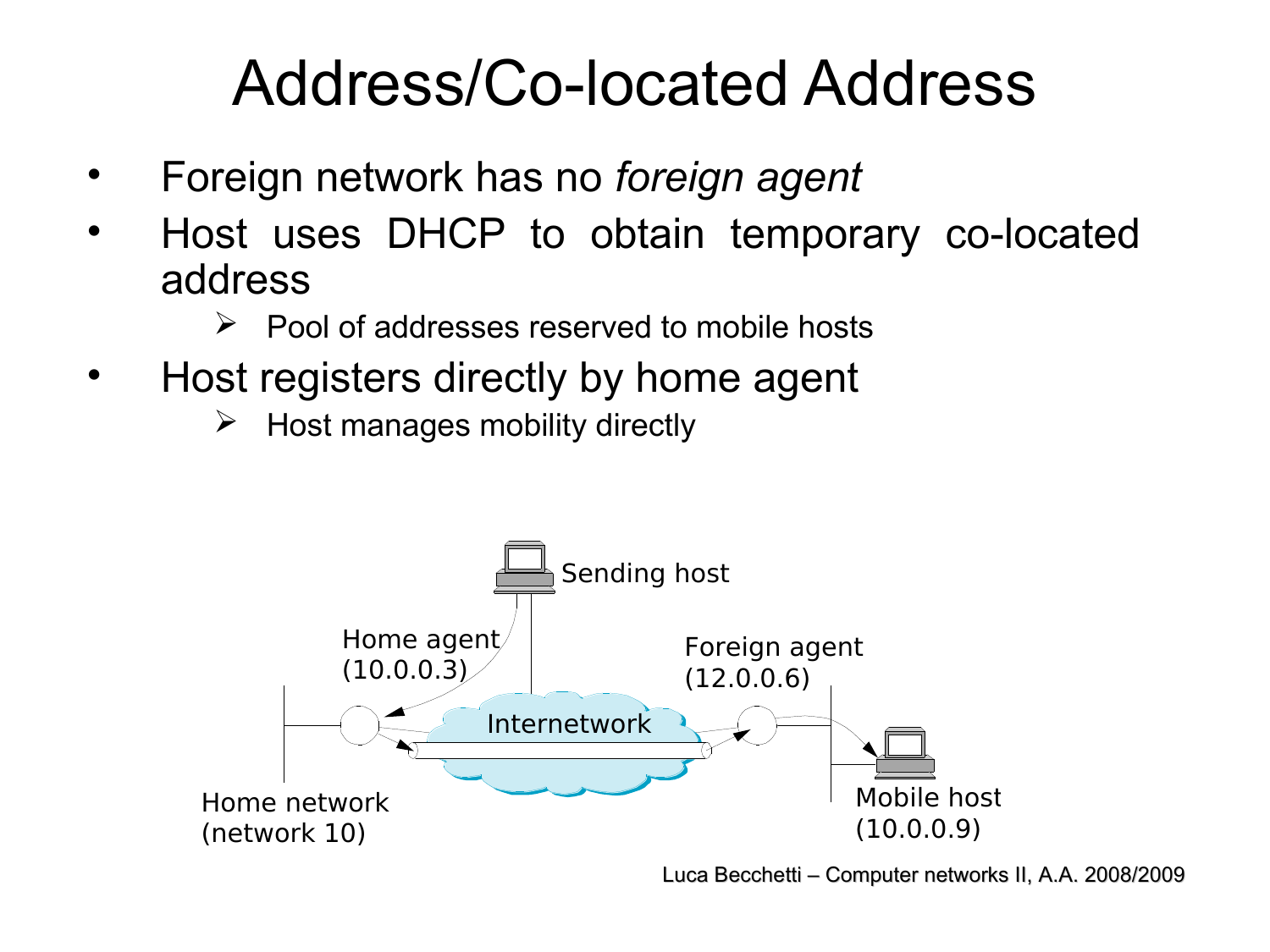#### Address/Co-located Address

- Foreign network has no *foreign agent*
- Host uses DHCP to obtain temporary co-located address
	- $\triangleright$  Pool of addresses reserved to mobile hosts
- Host registers directly by home agent
	- $\triangleright$  Host manages mobility directly

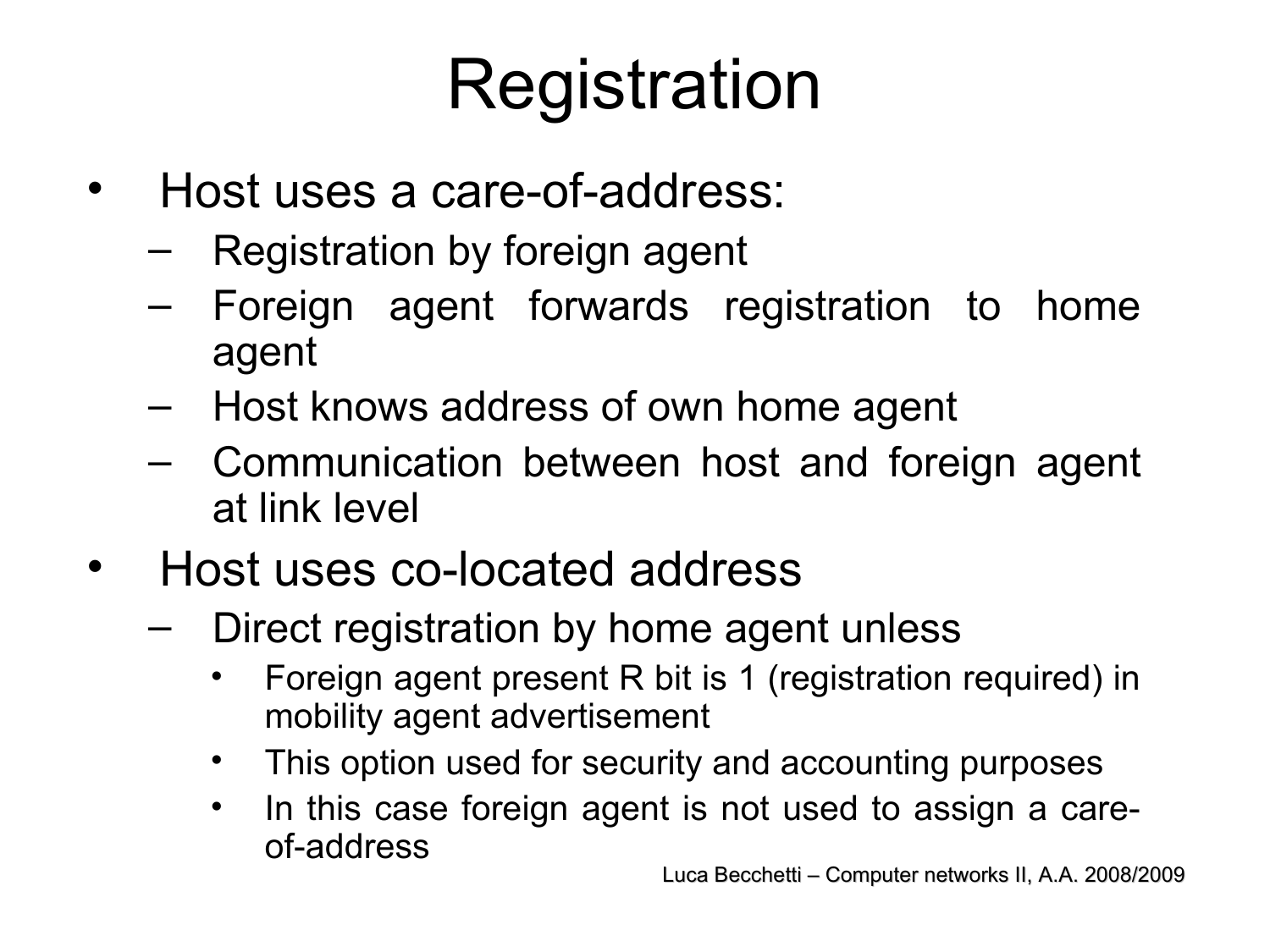## Registration

- Host uses a care-of-address:
	- Registration by foreign agent
	- Foreign agent forwards registration to home agent
	- Host knows address of own home agent
	- Communication between host and foreign agent at link level
- Host uses co-located address
	- Direct registration by home agent unless
		- Foreign agent present R bit is 1 (registration required) in mobility agent advertisement
		- This option used for security and accounting purposes
		- In this case foreign agent is not used to assign a careof-address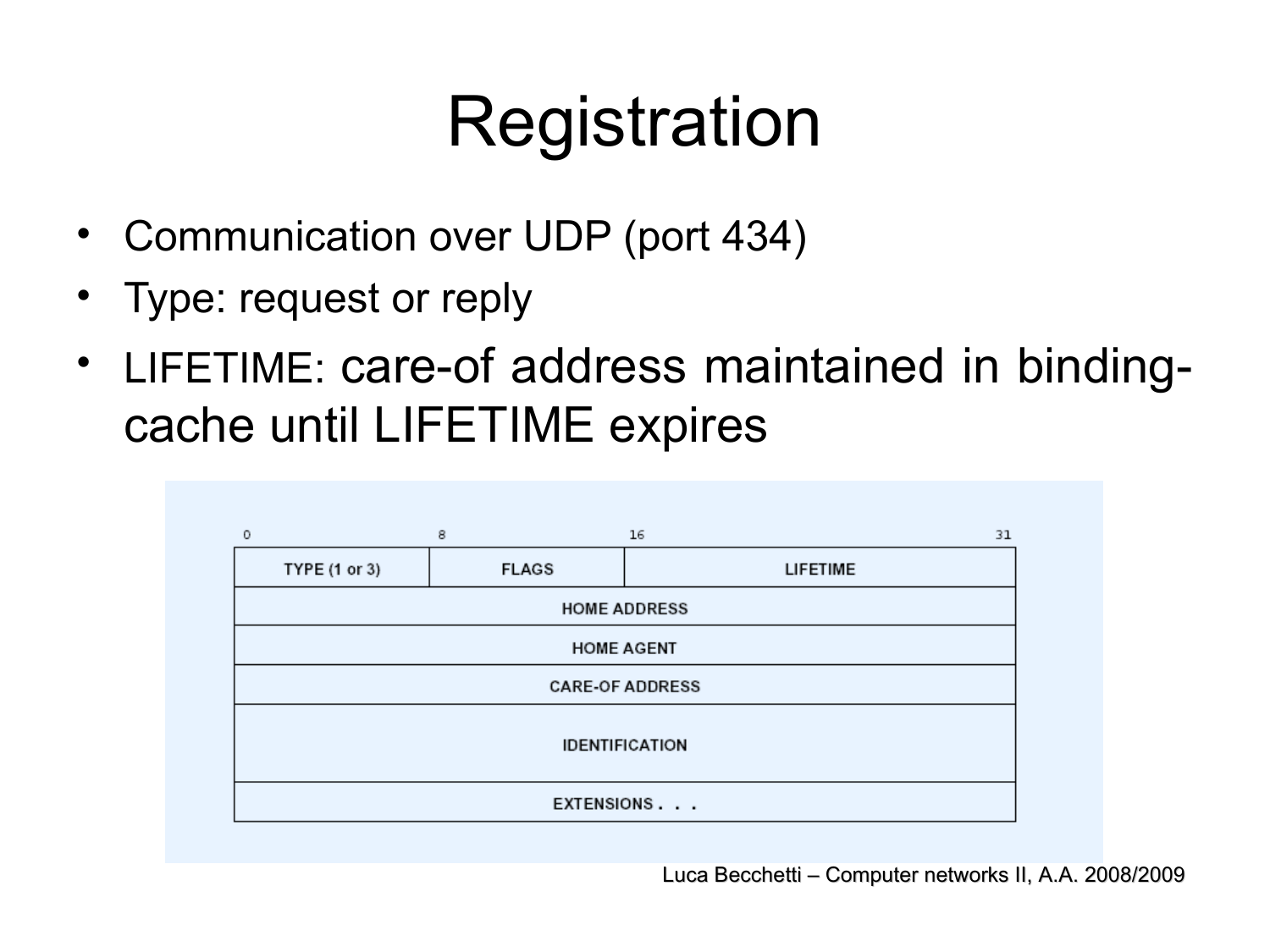## Registration

- Communication over UDP (port 434)
- Type: request or reply
- LIFETIME: care-of address maintained in bindingcache until LIFETIME expires

| $^{\circ}$             | 8            | 16              | 31 |  |
|------------------------|--------------|-----------------|----|--|
| TYPE (1 or 3)          | <b>FLAGS</b> | <b>LIFETIME</b> |    |  |
| <b>HOME ADDRESS</b>    |              |                 |    |  |
| <b>HOME AGENT</b>      |              |                 |    |  |
| <b>CARE-OF ADDRESS</b> |              |                 |    |  |
| <b>IDENTIFICATION</b>  |              |                 |    |  |
|                        |              | EXTENSIONS      |    |  |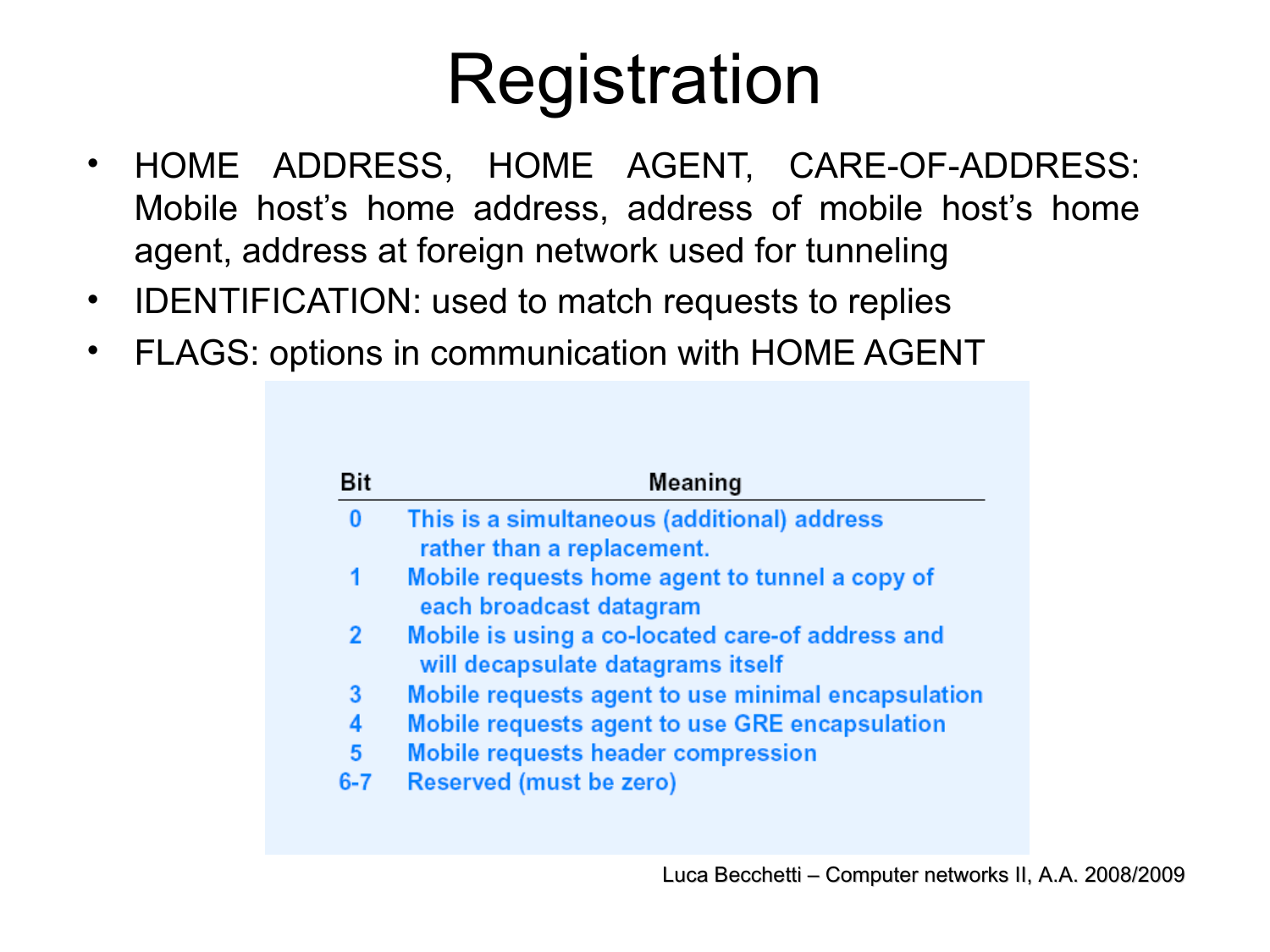## Registration

- HOME ADDRESS, HOME AGENT, CARE-OF-ADDRESS: Mobile host's home address, address of mobile host's home agent, address at foreign network used for tunneling
- IDENTIFICATION: used to match requests to replies
- FLAGS: options in communication with HOME AGENT

| Bit      | Meaning                                                                               |
|----------|---------------------------------------------------------------------------------------|
| $\bf{0}$ | This is a simultaneous (additional) address<br>rather than a replacement.             |
|          | Mobile requests home agent to tunnel a copy of                                        |
|          | each broadcast datagram                                                               |
| 2        | Mobile is using a co-located care-of address and<br>will decapsulate datagrams itself |
| 3        | Mobile requests agent to use minimal encapsulation                                    |
| 4        | Mobile requests agent to use GRE encapsulation                                        |
| 5        | <b>Mobile requests header compression</b>                                             |
| $6 - 7$  | Reserved (must be zero)                                                               |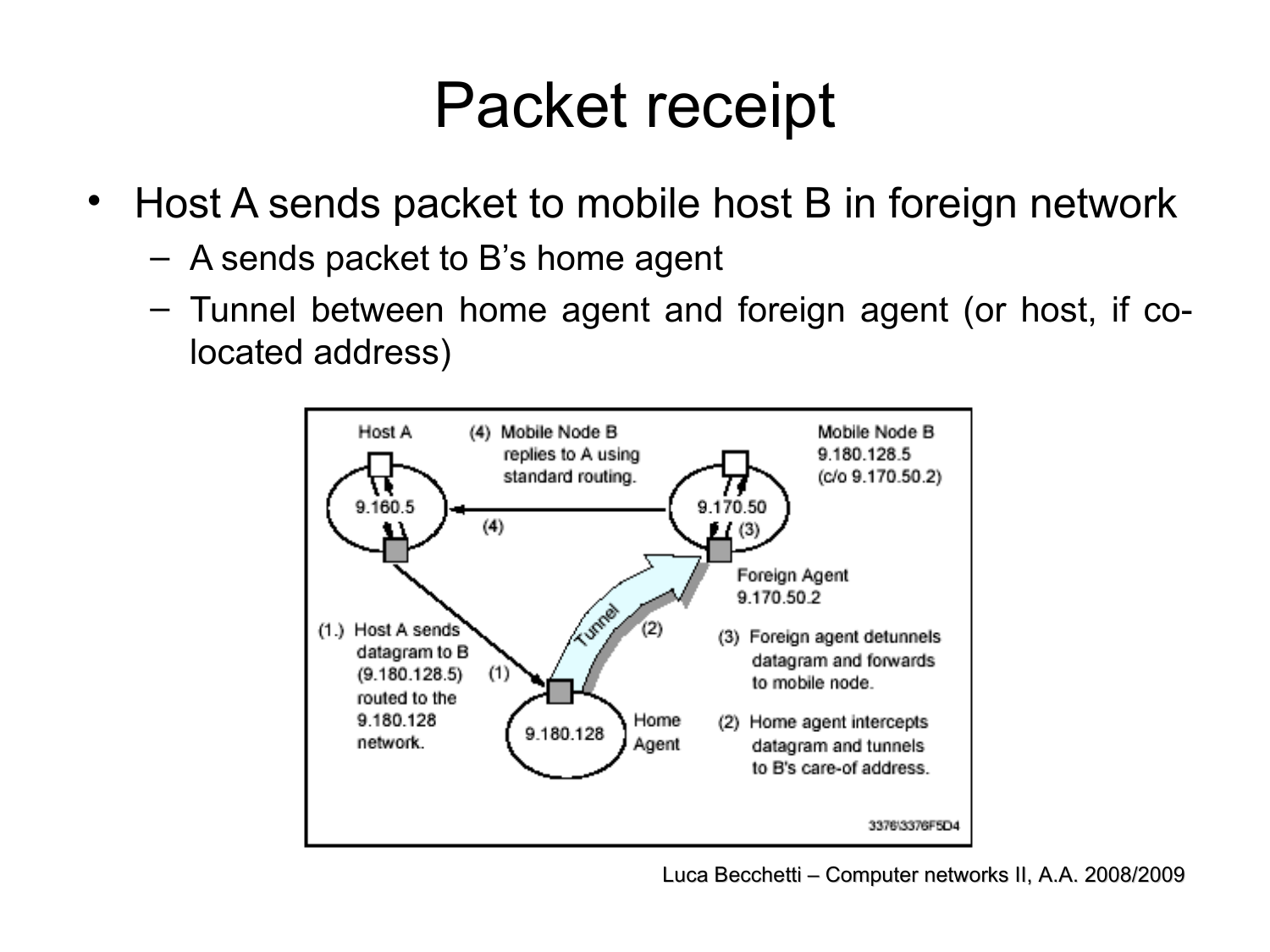#### Packet receipt

- Host A sends packet to mobile host B in foreign network
	- A sends packet to B's home agent
	- Tunnel between home agent and foreign agent (or host, if colocated address)

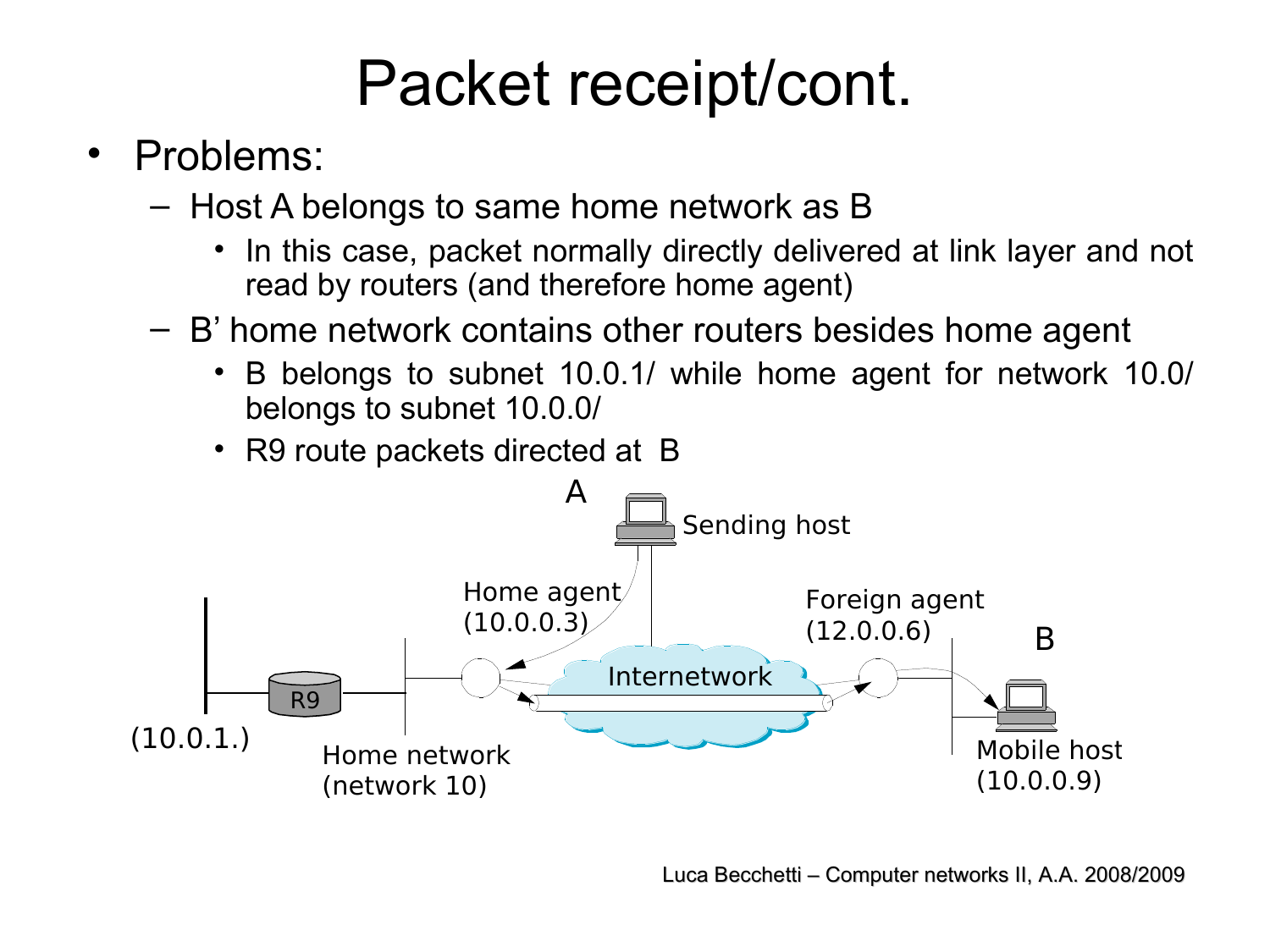#### Packet receipt/cont.

- Problems:
	- Host A belongs to same home network as B
		- In this case, packet normally directly delivered at link layer and not read by routers (and therefore home agent)
	- B' home network contains other routers besides home agent
		- B belongs to subnet 10.0.1/ while home agent for network 10.0/ belongs to subnet 10.0.0/
		- R9 route packets directed at B

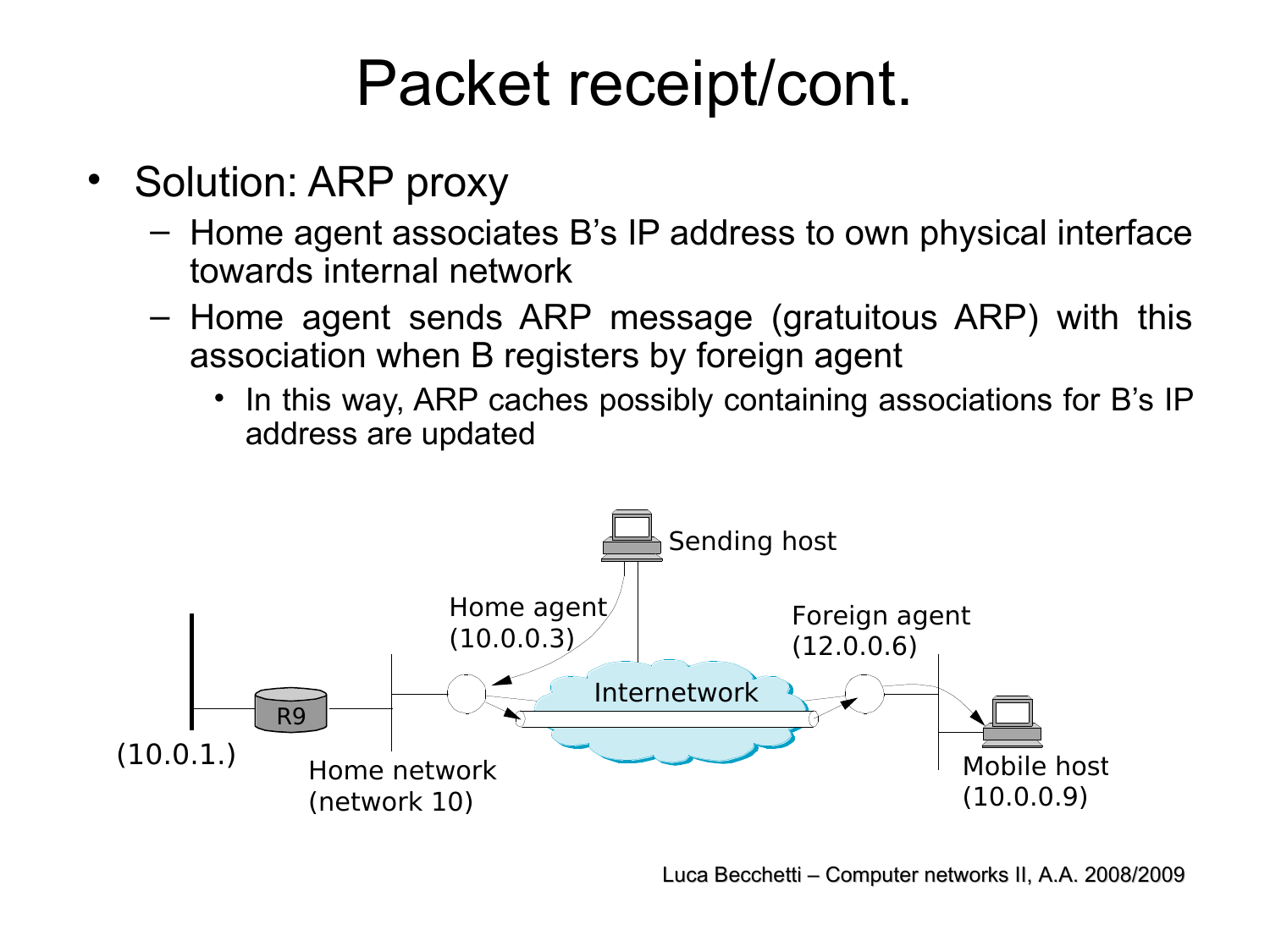#### Packet receipt/cont.

- Solution: ARP proxy
	- Home agent associates B's IP address to own physical interface towards internal network
	- Home agent sends ARP message (gratuitous ARP) with this association when B registers by foreign agent
		- In this way, ARP caches possibly containing associations for B's IP address are updated

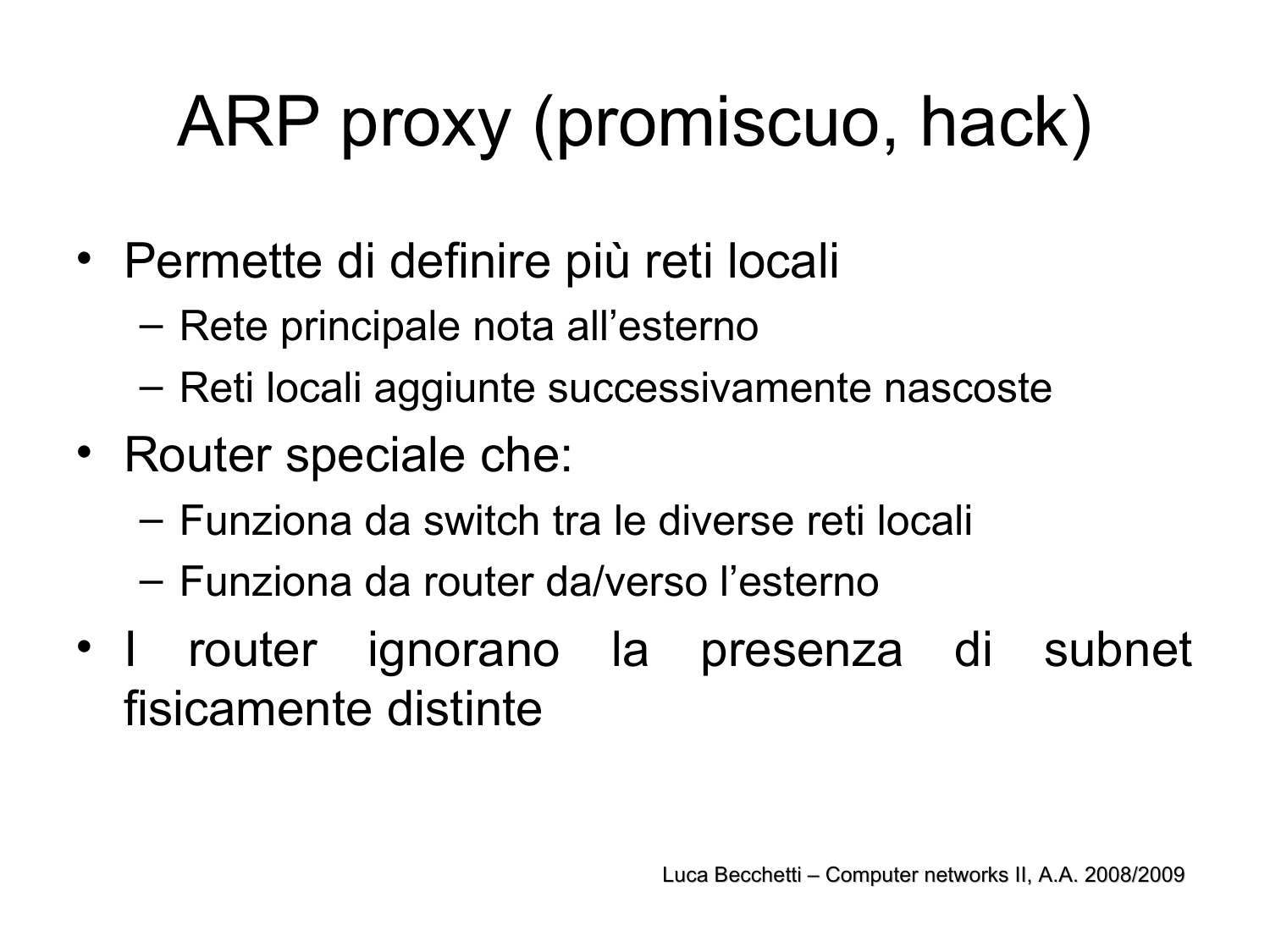# ARP proxy (promiscuo, hack)

- Permette di definire più reti locali
	- Rete principale nota all'esterno
	- Reti locali aggiunte successivamente nascoste
- Router speciale che:
	- Funziona da switch tra le diverse reti locali
	- Funziona da router da/verso l'esterno
- I router ignorano la presenza di subnet fisicamente distinte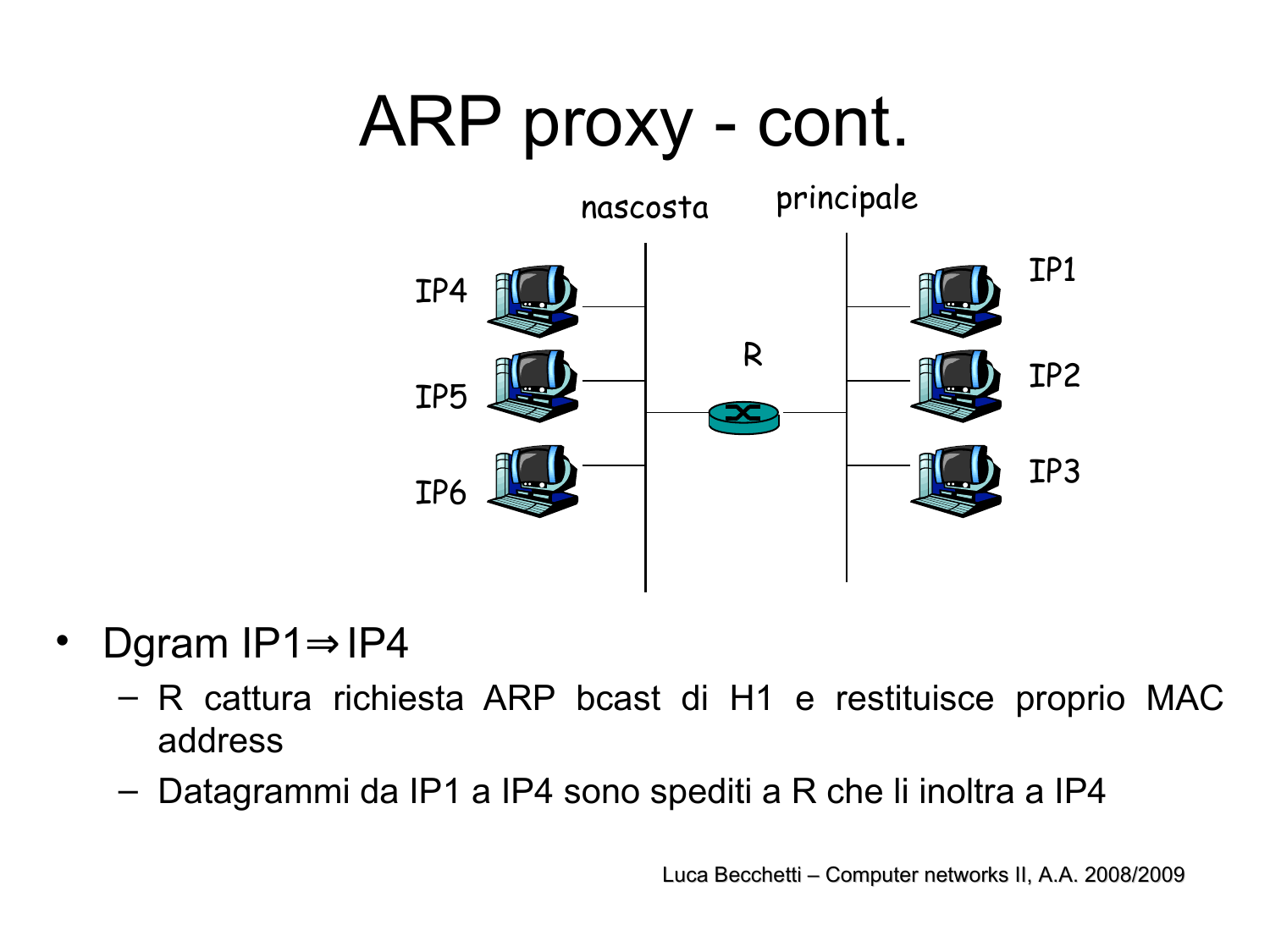#### ARP proxy - cont.



- Dgram IP1⇒IP4
	- R cattura richiesta ARP bcast di H1 e restituisce proprio MAC address
	- Datagrammi da IP1 a IP4 sono spediti a R che li inoltra a IP4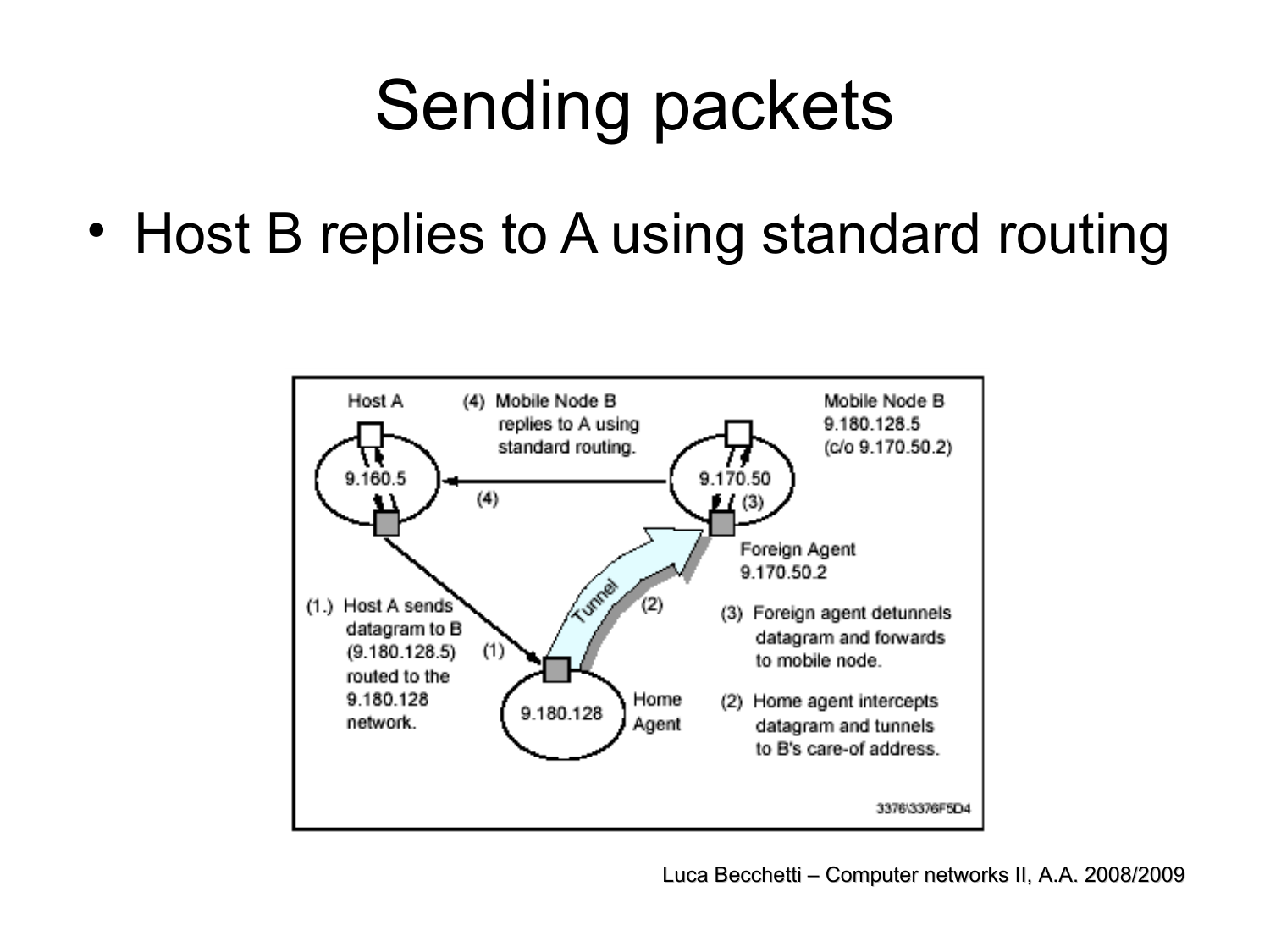## Sending packets

• Host B replies to A using standard routing

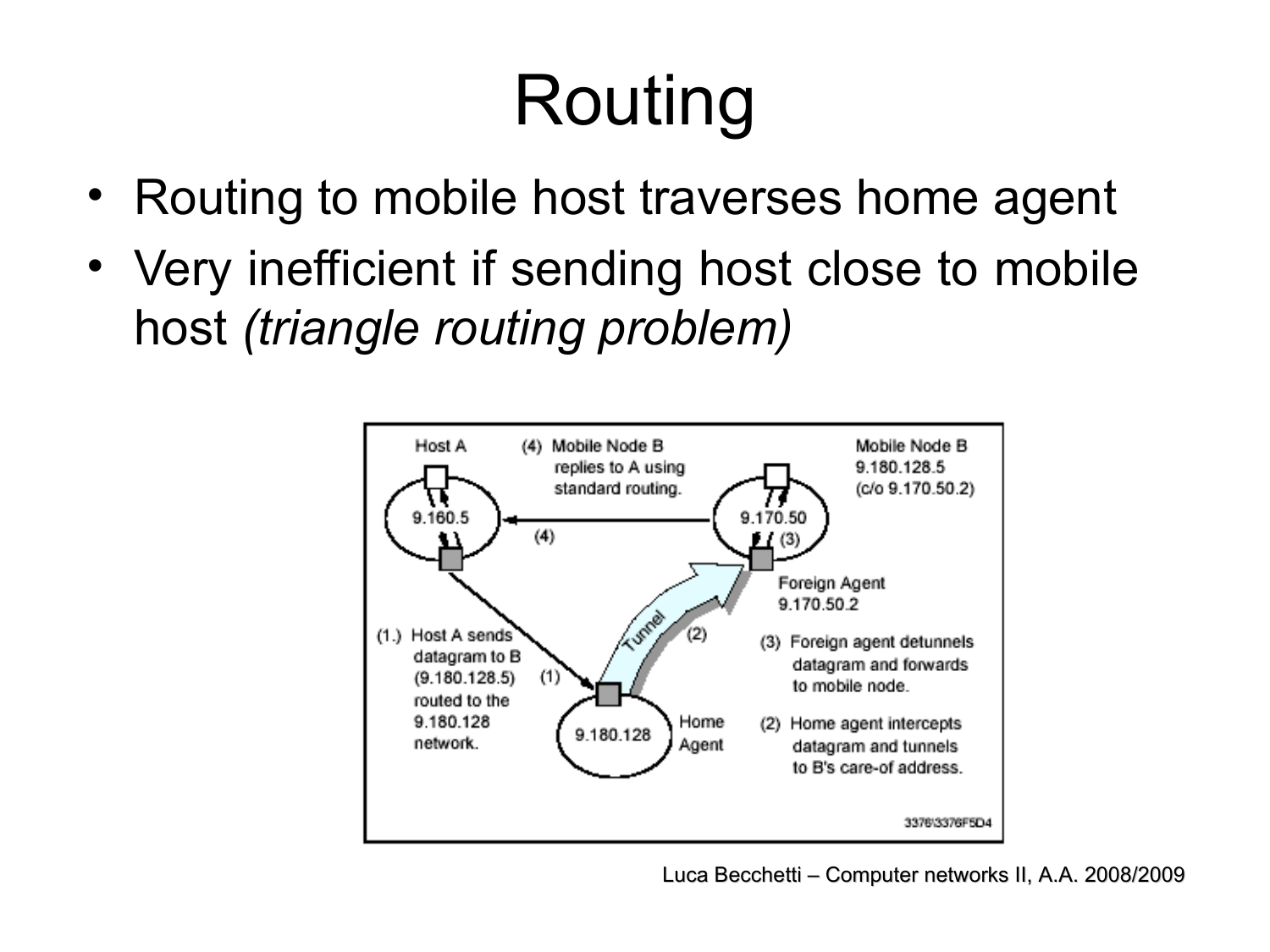# Routing

- Routing to mobile host traverses home agent
- Very inefficient if sending host close to mobile host *(triangle routing problem)*

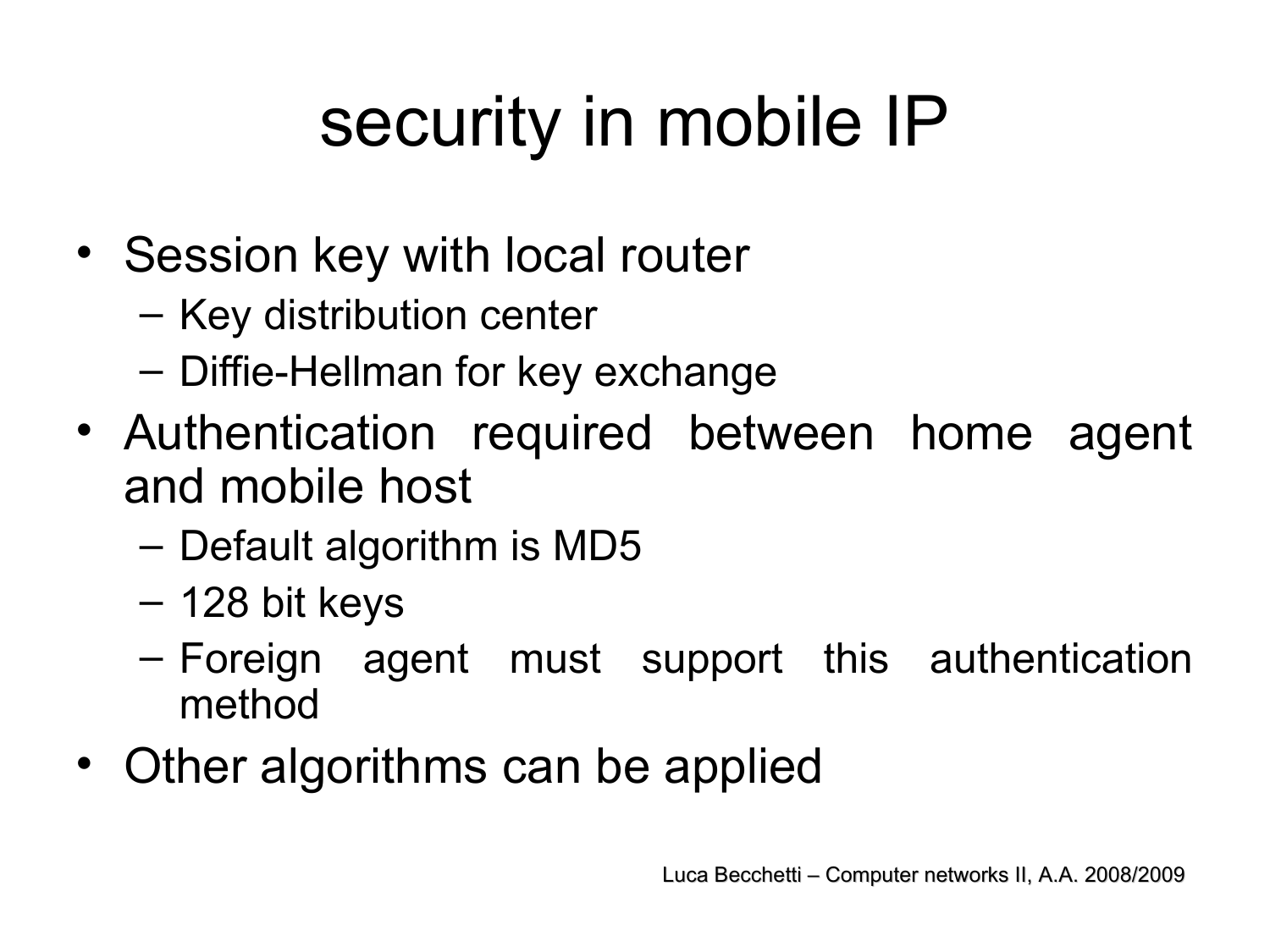# security in mobile IP

- Session key with local router
	- Key distribution center
	- Diffie-Hellman for key exchange
- Authentication required between home agent and mobile host
	- Default algorithm is MD5
	- 128 bit keys
	- Foreign agent must support this authentication method
- Other algorithms can be applied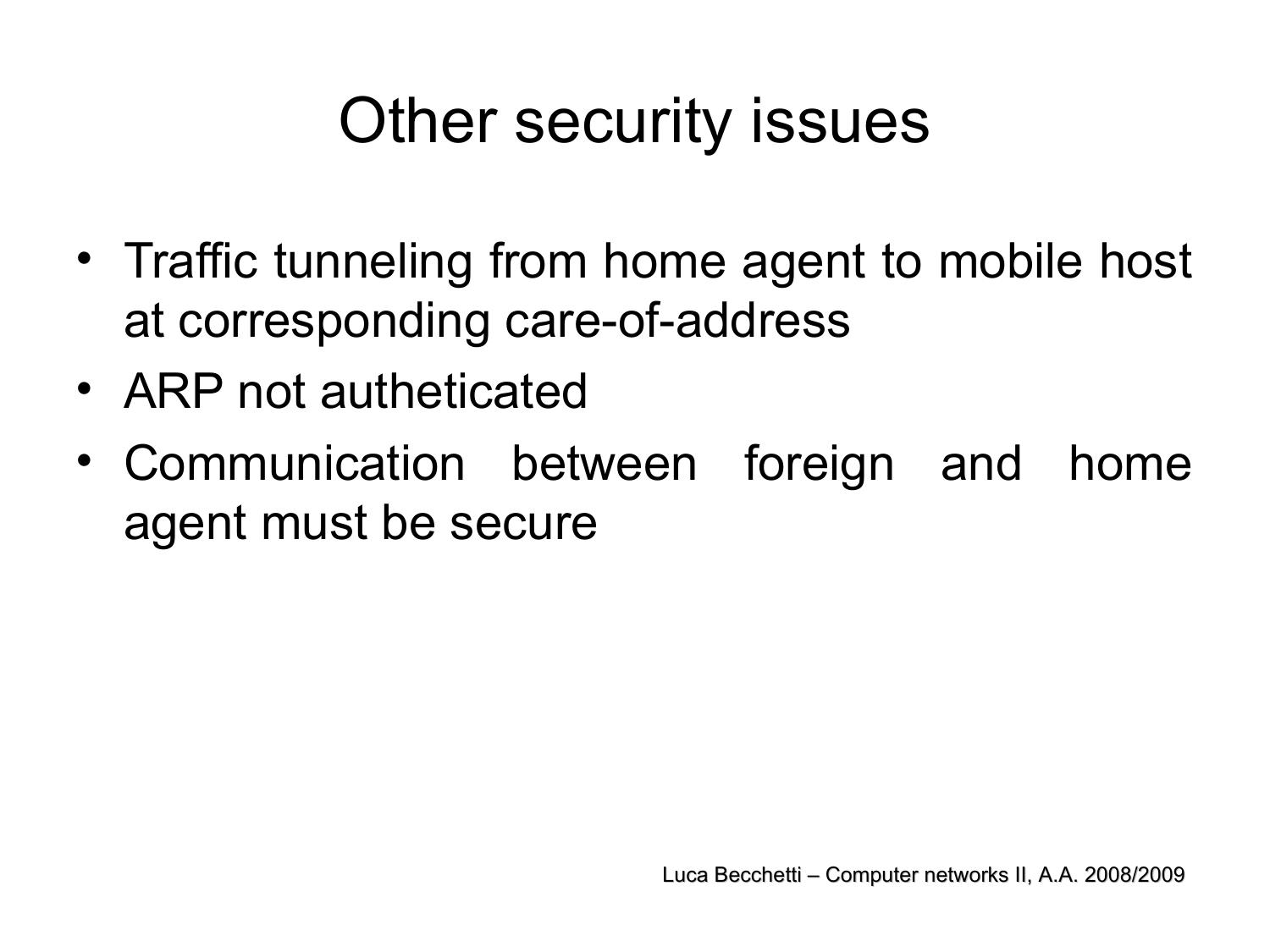#### Other security issues

- Traffic tunneling from home agent to mobile host at corresponding care-of-address
- ARP not autheticated
- Communication between foreign and home agent must be secure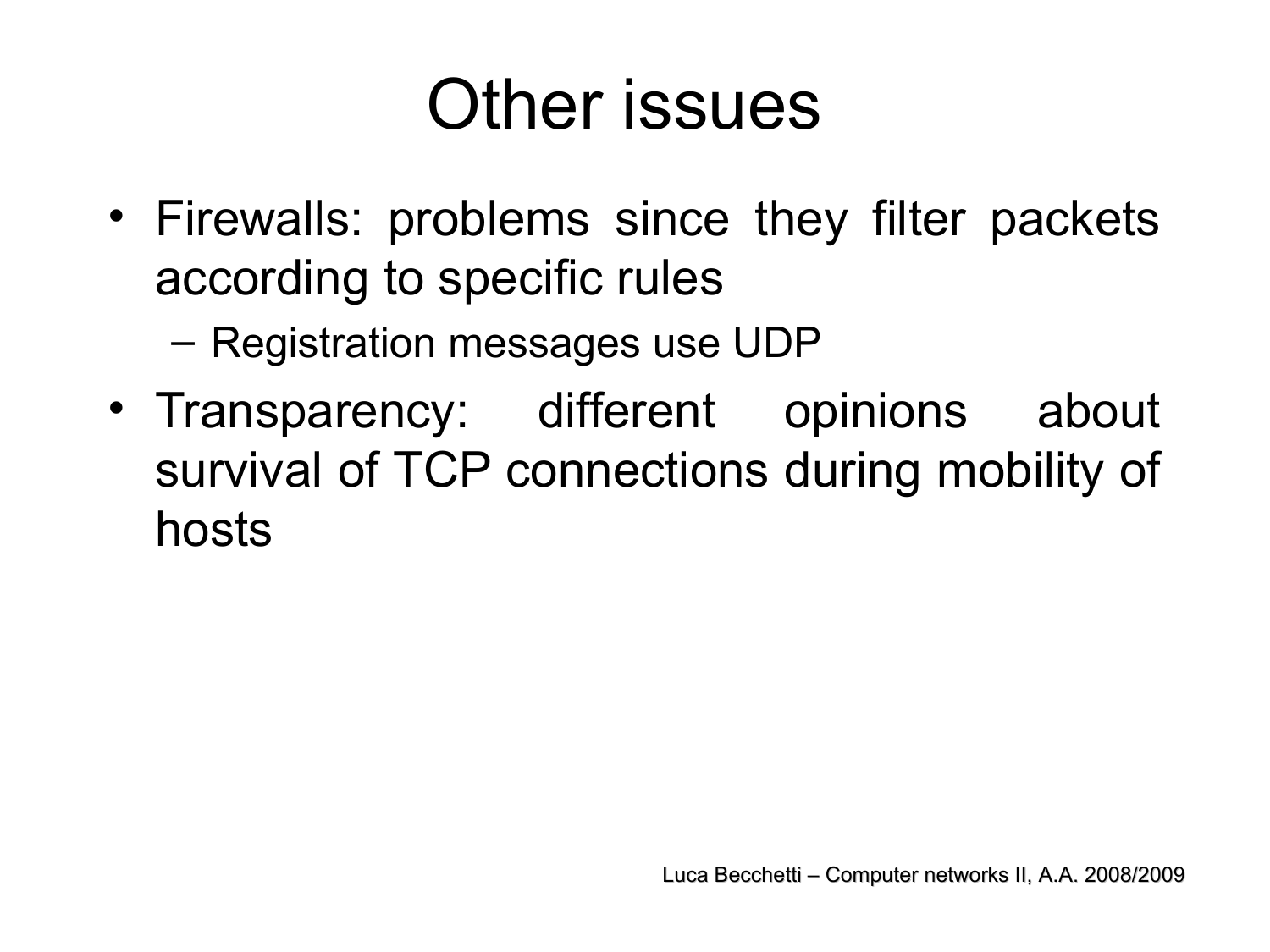#### Other issues

• Firewalls: problems since they filter packets according to specific rules

– Registration messages use UDP

• Transparency: different opinions about survival of TCP connections during mobility of hosts